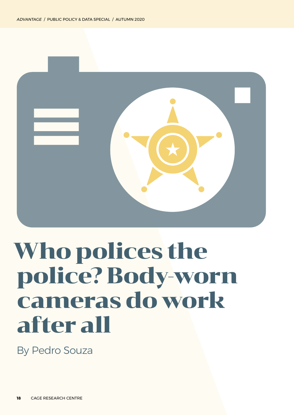

## Who polices the police? Body-worn cameras do work after all

By Pedro Souza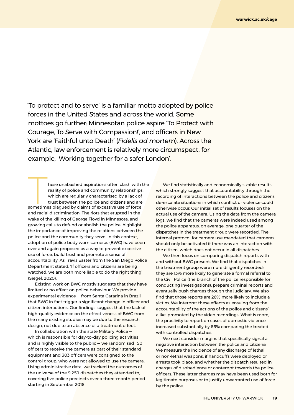'To protect and to serve' is a familiar motto adopted by police forces in the United States and across the world. Some mottoes go further: Minnesotan police aspire 'To Protect with Courage, To Serve with Compassion!', and officers in New York are 'Faithful unto Death' (*Fidelis ad mortem*). Across the Atlantic, law enforcement is relatively more circumspect, for example, 'Working together for a safer London'.

These unabashed aspirations often clash with the reality of police and community relationships, which are regularly characterised by a lack of trust between the police and citizens and are sometimes plagued by claims of ex reality of police and community relationships, which are regularly characterised by a lack of trust between the police and citizens and are and racial discrimination. The riots that erupted in the wake of the killing of George Floyd in Minnesota, and growing calls to defund or abolish the police, highlight the importance of improving the relations between the police and the community they serve. in this context, adoption of police body worn cameras (BWC) have been over and again proposed as a way to prevent excessive use of force, build trust and promote a sense of accountability. As Travis Easter from the San Diego Police Department stated, 'If officers and citizens are being watched, we are both more liable to do the right thing' (siegel, 2020).

Existing work on BWC mostly suggests that they have limited or no effect on police behaviour. We provide experimental evidence – from Santa Catarina in Brazil that BWC in fact trigger a significant change in officer and citizen interactions. our findings suggest that the lack of high-quality evidence on the effectiveness of bWc from the many existing studies may be due to the research design, not due to an absence of a treatment effect.

In collaboration with the state Military Police  $$ which is responsible for day-to-day policing activities and is highly visible to the public  $-$  we randomised 150 officers to receive the camera as part of their standard equipment and 303 officers were consigned to the control group, who were not allowed to use the camera. Using administrative data, we tracked the outcomes of the universe of the 9,259 dispatches they attended to, covering five police precincts over a three-month period starting in September 2018.

We find statistically and economically sizable results which strongly suggest that accountability through the recording of interactions between the police and citizens de-escalate situations in which conflict or violence could otherwise occur. Our initial set of results focuses on the actual use of the camera. Using the data from the camera logs, we find that the cameras were indeed used among the police apparatus: on average, one quarter of the dispatches in the treatment group were recorded. The internal protocol for camera use mandated that cameras should only be activated if there was an interaction with the citizen, which does not occur in all dispatches.

We then focus on comparing dispatch reports with and without BWC present. We find that dispatches in the treatment group were more diligently recorded: they are 13% more likely to generate a formal referral to the Civil Police (the branch of the police responsible for conducting investigations), prepare criminal reports and eventually push charges through the judiciary. We also find that those reports are 26% more likely to include a victim. We interpret these effects as ensuing from the accountability of the actions of the police and citizens' alike, promoted by the video recordings. What is more, the proclivity to report on cases of domestic violence increased substantially by 66% comparing the treated with controlled dispatches.

We next consider margins that specifically signal a negative interaction between the police and citizens: We measure the incidence of any discharge of lethal or non-lethal weapons, if handcuffs were deployed or arrests took place, and whether the dispatch resulted in charges of disobedience or contempt towards the police officers. These latter charges may have been used both for legitimate purposes or to justify unwarranted use of force by the police.